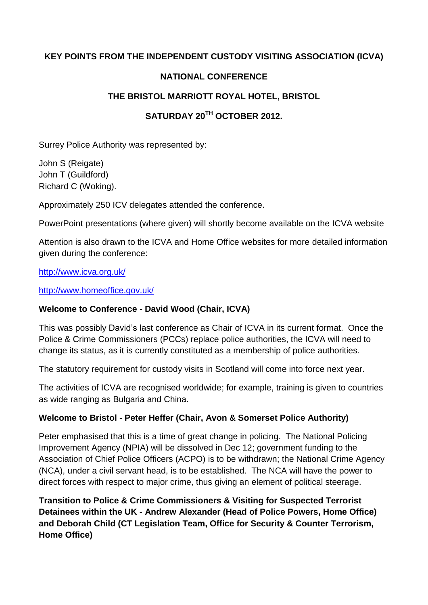### **KEY POINTS FROM THE INDEPENDENT CUSTODY VISITING ASSOCIATION (ICVA)**

### **NATIONAL CONFERENCE**

### **THE BRISTOL MARRIOTT ROYAL HOTEL, BRISTOL**

# **SATURDAY 20TH OCTOBER 2012.**

Surrey Police Authority was represented by:

John S (Reigate) John T (Guildford) Richard C (Woking).

Approximately 250 ICV delegates attended the conference.

PowerPoint presentations (where given) will shortly become available on the ICVA website

Attention is also drawn to the ICVA and Home Office websites for more detailed information given during the conference:

#### <http://www.icva.org.uk/>

<http://www.homeoffice.gov.uk/>

### **Welcome to Conference - David Wood (Chair, ICVA)**

This was possibly David's last conference as Chair of ICVA in its current format. Once the Police & Crime Commissioners (PCCs) replace police authorities, the ICVA will need to change its status, as it is currently constituted as a membership of police authorities.

The statutory requirement for custody visits in Scotland will come into force next year.

The activities of ICVA are recognised worldwide; for example, training is given to countries as wide ranging as Bulgaria and China.

### **Welcome to Bristol - Peter Heffer (Chair, Avon & Somerset Police Authority)**

Peter emphasised that this is a time of great change in policing. The National Policing Improvement Agency (NPIA) will be dissolved in Dec 12; government funding to the Association of Chief Police Officers (ACPO) is to be withdrawn; the National Crime Agency (NCA), under a civil servant head, is to be established. The NCA will have the power to direct forces with respect to major crime, thus giving an element of political steerage.

**Transition to Police & Crime Commissioners & Visiting for Suspected Terrorist Detainees within the UK - Andrew Alexander (Head of Police Powers, Home Office) and Deborah Child (CT Legislation Team, Office for Security & Counter Terrorism, Home Office)**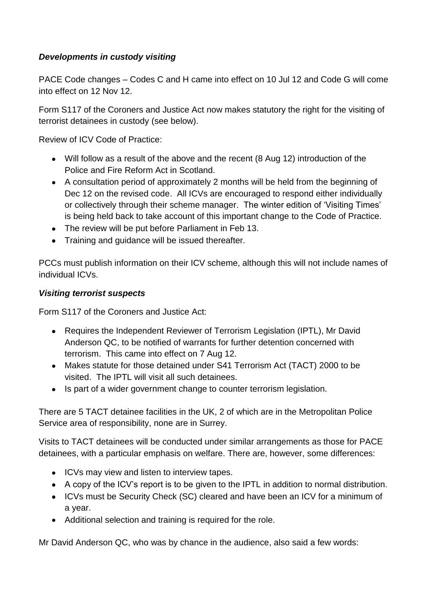# *Developments in custody visiting*

PACE Code changes – Codes C and H came into effect on 10 Jul 12 and Code G will come into effect on 12 Nov 12.

Form S117 of the Coroners and Justice Act now makes statutory the right for the visiting of terrorist detainees in custody (see below).

Review of ICV Code of Practice:

- Will follow as a result of the above and the recent (8 Aug 12) introduction of the Police and Fire Reform Act in Scotland.
- A consultation period of approximately 2 months will be held from the beginning of Dec 12 on the revised code. All ICVs are encouraged to respond either individually or collectively through their scheme manager. The winter edition of 'Visiting Times' is being held back to take account of this important change to the Code of Practice.
- The review will be put before Parliament in Feb 13.
- Training and guidance will be issued thereafter.

PCCs must publish information on their ICV scheme, although this will not include names of individual ICVs.

# *Visiting terrorist suspects*

Form S117 of the Coroners and Justice Act:

- Requires the Independent Reviewer of Terrorism Legislation (IPTL), Mr David Anderson QC, to be notified of warrants for further detention concerned with terrorism. This came into effect on 7 Aug 12.
- Makes statute for those detained under S41 Terrorism Act (TACT) 2000 to be visited. The IPTL will visit all such detainees.
- Is part of a wider government change to counter terrorism legislation.

There are 5 TACT detainee facilities in the UK, 2 of which are in the Metropolitan Police Service area of responsibility, none are in Surrey.

Visits to TACT detainees will be conducted under similar arrangements as those for PACE detainees, with a particular emphasis on welfare. There are, however, some differences:

- ICVs may view and listen to interview tapes.
- A copy of the ICV's report is to be given to the IPTL in addition to normal distribution.
- ICVs must be Security Check (SC) cleared and have been an ICV for a minimum of a year.
- Additional selection and training is required for the role.

Mr David Anderson QC, who was by chance in the audience, also said a few words: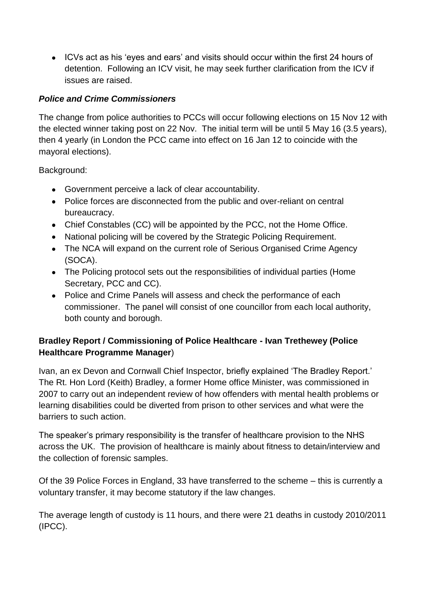ICVs act as his 'eyes and ears' and visits should occur within the first 24 hours of detention. Following an ICV visit, he may seek further clarification from the ICV if issues are raised.

## *Police and Crime Commissioners*

The change from police authorities to PCCs will occur following elections on 15 Nov 12 with the elected winner taking post on 22 Nov. The initial term will be until 5 May 16 (3.5 years), then 4 yearly (in London the PCC came into effect on 16 Jan 12 to coincide with the mayoral elections).

Background:

- Government perceive a lack of clear accountability.
- Police forces are disconnected from the public and over-reliant on central bureaucracy.
- Chief Constables (CC) will be appointed by the PCC, not the Home Office.
- National policing will be covered by the Strategic Policing Requirement.
- The NCA will expand on the current role of Serious Organised Crime Agency (SOCA).
- The Policing protocol sets out the responsibilities of individual parties (Home Secretary, PCC and CC).
- Police and Crime Panels will assess and check the performance of each commissioner. The panel will consist of one councillor from each local authority, both county and borough.

# **Bradley Report / Commissioning of Police Healthcare - Ivan Trethewey (Police Healthcare Programme Manager**)

Ivan, an ex Devon and Cornwall Chief Inspector, briefly explained 'The Bradley Report.' The Rt. Hon Lord (Keith) Bradley, a former Home office Minister, was commissioned in 2007 to carry out an independent review of how offenders with mental health problems or learning disabilities could be diverted from prison to other services and what were the barriers to such action.

The speaker's primary responsibility is the transfer of healthcare provision to the NHS across the UK. The provision of healthcare is mainly about fitness to detain/interview and the collection of forensic samples.

Of the 39 Police Forces in England, 33 have transferred to the scheme – this is currently a voluntary transfer, it may become statutory if the law changes.

The average length of custody is 11 hours, and there were 21 deaths in custody 2010/2011 (IPCC).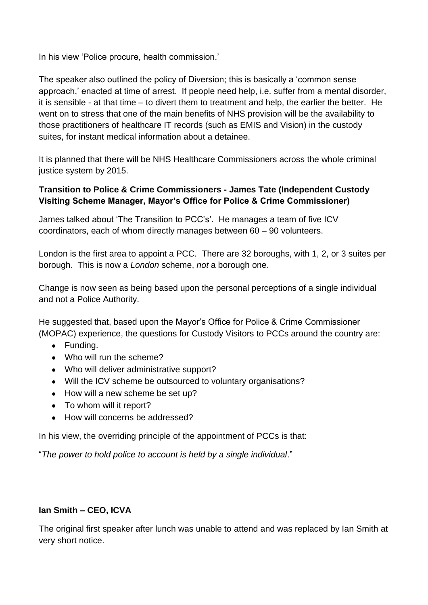In his view 'Police procure, health commission.'

The speaker also outlined the policy of Diversion; this is basically a 'common sense approach,' enacted at time of arrest. If people need help, i.e. suffer from a mental disorder, it is sensible - at that time – to divert them to treatment and help, the earlier the better. He went on to stress that one of the main benefits of NHS provision will be the availability to those practitioners of healthcare IT records (such as EMIS and Vision) in the custody suites, for instant medical information about a detainee.

It is planned that there will be NHS Healthcare Commissioners across the whole criminal justice system by 2015.

### **Transition to Police & Crime Commissioners - James Tate (Independent Custody Visiting Scheme Manager, Mayor's Office for Police & Crime Commissioner)**

James talked about 'The Transition to PCC's'. He manages a team of five ICV coordinators, each of whom directly manages between 60 – 90 volunteers.

London is the first area to appoint a PCC. There are 32 boroughs, with 1, 2, or 3 suites per borough. This is now a *London* scheme, *not* a borough one.

Change is now seen as being based upon the personal perceptions of a single individual and not a Police Authority.

He suggested that, based upon the Mayor's Office for Police & Crime Commissioner (MOPAC) experience, the questions for Custody Visitors to PCCs around the country are:

- Funding.
- Who will run the scheme?
- Who will deliver administrative support?
- Will the ICV scheme be outsourced to voluntary organisations?
- How will a new scheme be set up?
- To whom will it report?
- How will concerns be addressed?

In his view, the overriding principle of the appointment of PCCs is that:

"*The power to hold police to account is held by a single individual*."

### **Ian Smith – CEO, ICVA**

The original first speaker after lunch was unable to attend and was replaced by Ian Smith at very short notice.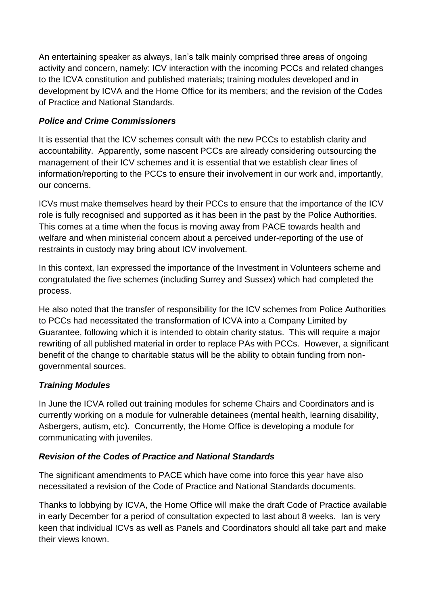An entertaining speaker as always, Ian's talk mainly comprised three areas of ongoing activity and concern, namely: ICV interaction with the incoming PCCs and related changes to the ICVA constitution and published materials; training modules developed and in development by ICVA and the Home Office for its members; and the revision of the Codes of Practice and National Standards.

# *Police and Crime Commissioners*

It is essential that the ICV schemes consult with the new PCCs to establish clarity and accountability. Apparently, some nascent PCCs are already considering outsourcing the management of their ICV schemes and it is essential that we establish clear lines of information/reporting to the PCCs to ensure their involvement in our work and, importantly, our concerns.

ICVs must make themselves heard by their PCCs to ensure that the importance of the ICV role is fully recognised and supported as it has been in the past by the Police Authorities. This comes at a time when the focus is moving away from PACE towards health and welfare and when ministerial concern about a perceived under-reporting of the use of restraints in custody may bring about ICV involvement.

In this context, Ian expressed the importance of the Investment in Volunteers scheme and congratulated the five schemes (including Surrey and Sussex) which had completed the process.

He also noted that the transfer of responsibility for the ICV schemes from Police Authorities to PCCs had necessitated the transformation of ICVA into a Company Limited by Guarantee, following which it is intended to obtain charity status. This will require a major rewriting of all published material in order to replace PAs with PCCs. However, a significant benefit of the change to charitable status will be the ability to obtain funding from nongovernmental sources.

# *Training Modules*

In June the ICVA rolled out training modules for scheme Chairs and Coordinators and is currently working on a module for vulnerable detainees (mental health, learning disability, Asbergers, autism, etc). Concurrently, the Home Office is developing a module for communicating with juveniles.

### *Revision of the Codes of Practice and National Standards*

The significant amendments to PACE which have come into force this year have also necessitated a revision of the Code of Practice and National Standards documents.

Thanks to lobbying by ICVA, the Home Office will make the draft Code of Practice available in early December for a period of consultation expected to last about 8 weeks. Ian is very keen that individual ICVs as well as Panels and Coordinators should all take part and make their views known.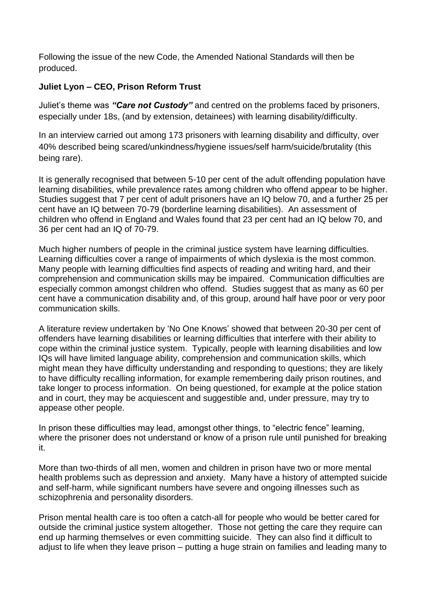Following the issue of the new Code, the Amended National Standards will then be produced.

### **Juliet Lyon – CEO, Prison Reform Trust**

Juliet's theme was *"Care not Custody"* and centred on the problems faced by prisoners, especially under 18s, (and by extension, detainees) with learning disability/difficulty.

In an interview carried out among 173 prisoners with learning disability and difficulty, over 40% described being scared/unkindness/hygiene issues/self harm/suicide/brutality (this being rare).

It is generally recognised that between 5-10 per cent of the adult offending population have learning disabilities, while prevalence rates among children who offend appear to be higher. Studies suggest that 7 per cent of adult prisoners have an IQ below 70, and a further 25 per cent have an IQ between 70-79 (borderline learning disabilities). An assessment of children who offend in England and Wales found that 23 per cent had an IQ below 70, and 36 per cent had an IQ of 70-79.

Much higher numbers of people in the criminal justice system have learning difficulties. Learning difficulties cover a range of impairments of which dyslexia is the most common. Many people with learning difficulties find aspects of reading and writing hard, and their comprehension and communication skills may be impaired. Communication difficulties are especially common amongst children who offend. Studies suggest that as many as 60 per cent have a communication disability and, of this group, around half have poor or very poor communication skills.

A literature review undertaken by 'No One Knows' showed that between 20-30 per cent of offenders have learning disabilities or learning difficulties that interfere with their ability to cope within the criminal justice system. Typically, people with learning disabilities and low IQs will have limited language ability, comprehension and communication skills, which might mean they have difficulty understanding and responding to questions; they are likely to have difficulty recalling information, for example remembering daily prison routines, and take longer to process information. On being questioned, for example at the police station and in court, they may be acquiescent and suggestible and, under pressure, may try to appease other people.

In prison these difficulties may lead, amongst other things, to "electric fence" learning, where the prisoner does not understand or know of a prison rule until punished for breaking it.

More than two-thirds of all men, women and children in prison have two or more mental health problems such as depression and anxiety. Many have a history of attempted suicide and self-harm, while significant numbers have severe and ongoing illnesses such as schizophrenia and personality disorders.

Prison mental health care is too often a catch-all for people who would be better cared for outside the criminal justice system altogether. Those not getting the care they require can end up harming themselves or even committing suicide. They can also find it difficult to adjust to life when they leave prison – putting a huge strain on families and leading many to